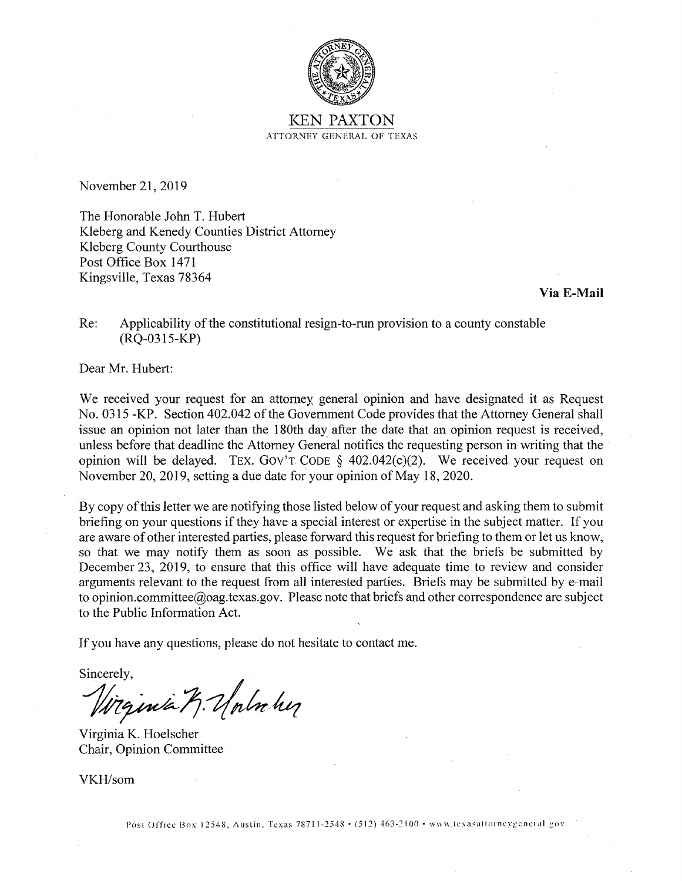

## KEN PAXTON ATTORNEY GENERAL OF TEXAS

November 21, 2019

The Honorable John T. Hubert Kleberg and Kenedy Counties District Attorney Kleberg County Courthouse Post Office Box 1471 Kingsville, Texas 78364

## **Via E-Mail**

Re: Applicability of the constitutional resign-to-run provision to a county constable (RQ-0315-KP)

Dear Mr. Hubert:

We received your request for an attorney general opinion and have designated it as Request No. 0315 -KP. Section 402.042 of the Government Code provides that the Attorney General shall issue an opinion not later than the 180th day after the date that an opinion request is received, unless before that deadline the Attorney General notifies the requesting person in writing that the opinion will be delayed. TEX. GOV'T CODE  $\S$  402.042(c)(2). We received your request on November 20, 2019, setting a due date for your opinion of May 18, 2020.

By copy of this letter we are notifying those listed below of your request and asking them to submit briefing on your questions if they have a special interest or expertise in the subject matter. If you are aware of other interested parties, please forward this request for briefing to them or let us know, so that we may notify them as soon as possible. We ask that the briefs be submitted by December 23, 2019, to ensure that this office will have adequate time to review and consider arguments relevant to the request from all interested parties. Briefs may be submitted by e-mail to opinion.committee@oag.texas.gov. Please note that briefs and other correspondence are subject to the Public Information Act.

If you have any questions, please do not hesitate to contact me.

Sincerely,

Wizinia 7. Unluhy

Virginia K. Hoelscher Chair, Opinion Committee

VKH/som

Post Office Box 12548, Austin. Texas 78711-2548 • (512) 463-2100 • www.texasattorneygeneral.gov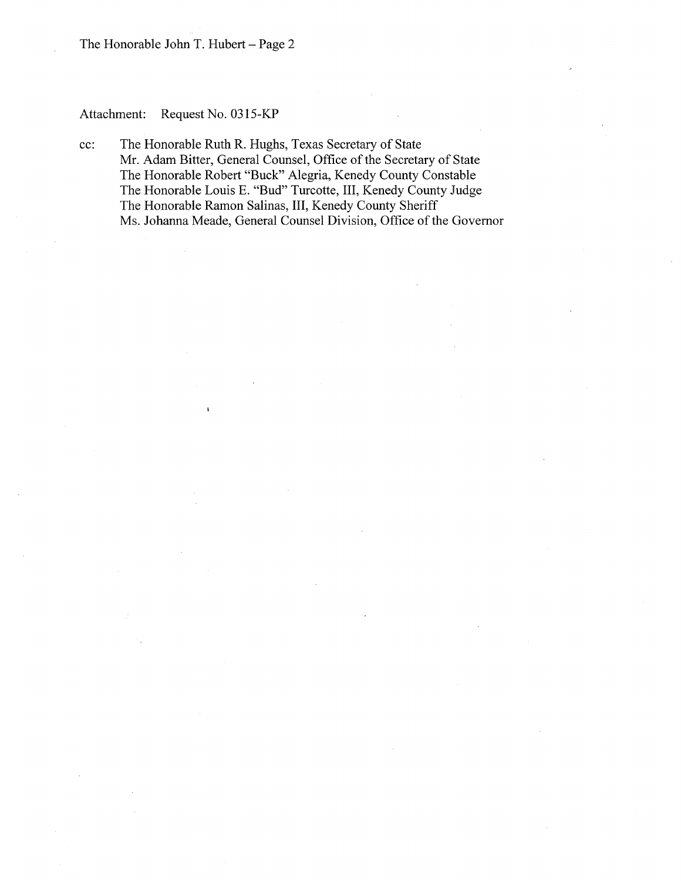The Honorable John T. Hubert-Page 2

# Attachment: Request No. 0315-KP

cc: The Honorable Ruth R. Hughs, Texas Secretary of State Mr. Adam Bitter, General Counsel, Office of the Secretary of State The Honorable Robert "Buck" Alegria, Kenedy County Constable The Honorable Louis E. "Bud" Turcotte, III, Kenedy County Judge The Honorable Ramon Salinas, III, Kenedy County Sheriff Ms. Johanna Meade, General Counsel Division, Office of the Governor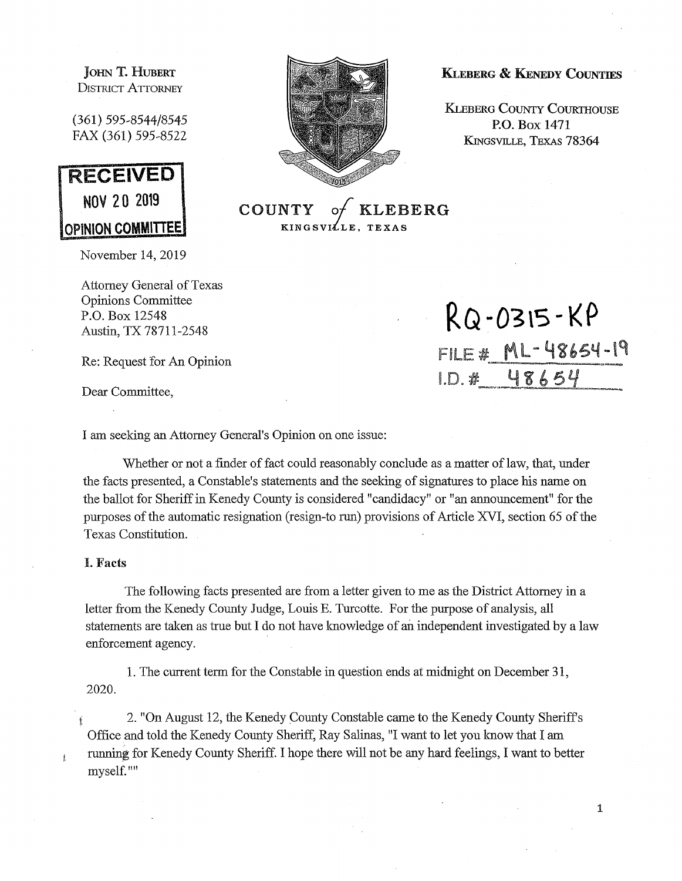JOHN T. HUBERT DISTRICT ATTORNEY

(361) 595-8544/8545 FAX (361) 595-8522



November 14, 2019

Attorney General of Texas Opinions Committee P.O. Box 12548

Dear Committee,

I am seeking an Attorney General's Opinion on one issue:

Whether or not a finder of fact could reasonably conclude as a matter of law, that, under the facts presented, a Constable's statements and the seeking of signatures to place his name on the ballot for Sheriff in Kenedy County is considered "candidacy" or "an announcement" for the purposes of the automatic resignation (resign-to run) provisions of Article XVI, section 65 of the Texas Constitution.

## I. **Facts**

The following facts presented are from a letter given to me as the District Attorney in a letter from the Kenedy County Judge, Louis E. Turcotte. For the purpose of analysis, all statements are taken as true but I do not have knowledge of an independent investigated by a law enforcement agency.

1. The current term for the Constable in question ends at midnight on December 31, 2020.

2. "On August 12, the Kenedy County Constable came to the Kenedy County Sheriff's Office and told the Kenedy County Sheriff, Ray Salinas, "I want to let you know that I am running for Kenedy County Sheriff. I hope there will not be any hard feelings, I want to better myself.""



**KINGSVILLE**,

KLEBERG & KENEDY COUNTIES

**KLEBERG COUNTY COURTHOUSE P.O.** Box **1471 KINGSVILLE, TEXAS 78364** 

P.O. Box 12548 Austin, TX 78711-2548 **RQ-0315-KP** Re: Request for An Opinion FILE # ML- 48654-19 48654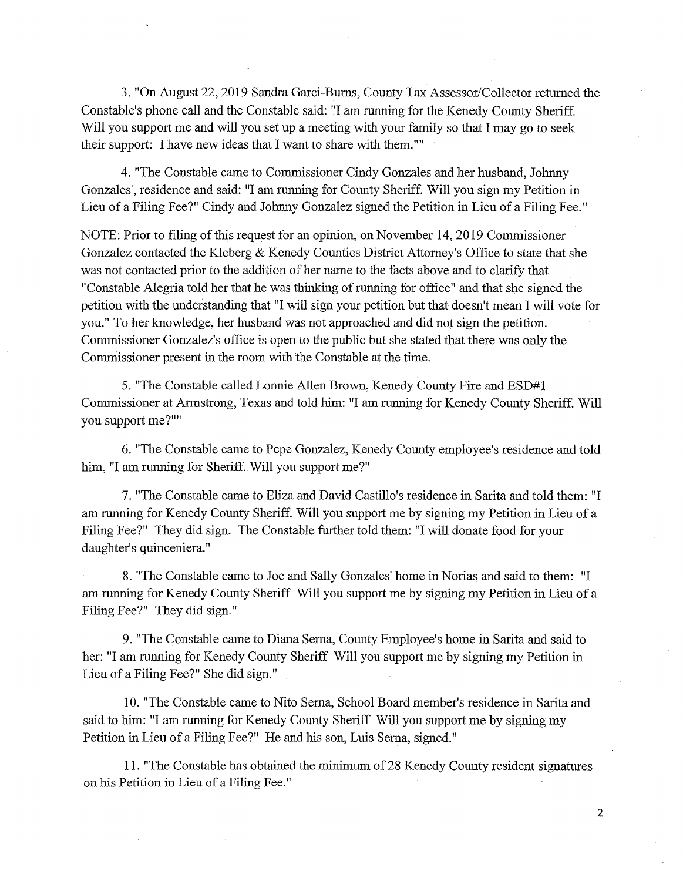3. "On August 22, 2019 Sandra Garci-Burns, County Tax Assessor/Collector returned the Constable's phone call and the Constable said: "I am running for the Kenedy County Sheriff. Will you support me and will you set up a meeting with your family so that I may go to seek their support: I have new ideas that I want to share with them.""

4. "The Constable came to Commissioner Cindy Gonzales and her husband, Johnny Gonzales', residence and said: "I am running for County Sheriff. Will you sign my Petition in Lieu of a Filing Fee?" Cindy and Johnny Gonzalez signed the Petition in Lieu of a Filing Fee."

NOTE: Prior to filing of this request for an opinion, on November 14, 2019 Commissioner Gonzalez contacted the Kleberg & Kenedy Counties District Attorney's Office to state that she was not contacted prior to the addition of her name to the facts above and to clarify that "Constable Alegria told her that he was thinking of running for office" and that she signed the petition with the under'standing that "I will sign your petition but that doesn't mean I will vote for you." To her knowledge, her husband was not approached and did not sign the petition. Commissioner Gonzalez's office is open to the public but she stated that there was only the Commissioner present in the room with the Constable at the time.

5. "The Constable called Lonnie Allen Brown, Kenedy County Fire and ESD#1 Commissioner at Armstrong, Texas and told him: "I am running for Kenedy County Sheriff. Will you support me?""

6. "The Constable came to Pepe Gonzalez, Kenedy County employee's residence and told him, "I am running for Sheriff. Will you support me?"

7. "The Constable came to Eliza and David Castillo's residence in Sarita and told them: "I am running for Kenedy County Sheriff. Will you support me by signing my Petition in Lieu of a Filing Fee?" They did sign. The Constable further told them: "I will donate food for your daughter's quinceniera."

8. "The Constable came to Joe and Sally Gonzales' home in Norias and said to them: "I am running for Kenedy County Sheriff Will you support me by signing my Petition in Lieu of a Filing Fee?" They did sign."

9. "The Constable came to Diana Serna, County Employee's home in Sarita and said to her: "I am running for Kenedy County Sheriff Will you support me by signing my Petition in Lieu of a Filing Fee?" She did sign."

10. "The Constable came to Nito Serna, School Board member's residence in Sarita and said to him: "I am running for Kenedy County Sheriff Will you support me by signing my Petition in Lieu of a Filing Fee?" He and his son, Luis Serna, signed."

11. "The Constable has obtained the minimum of28 Kenedy County resident signatures on his Petition in Lieu of a Filing Fee."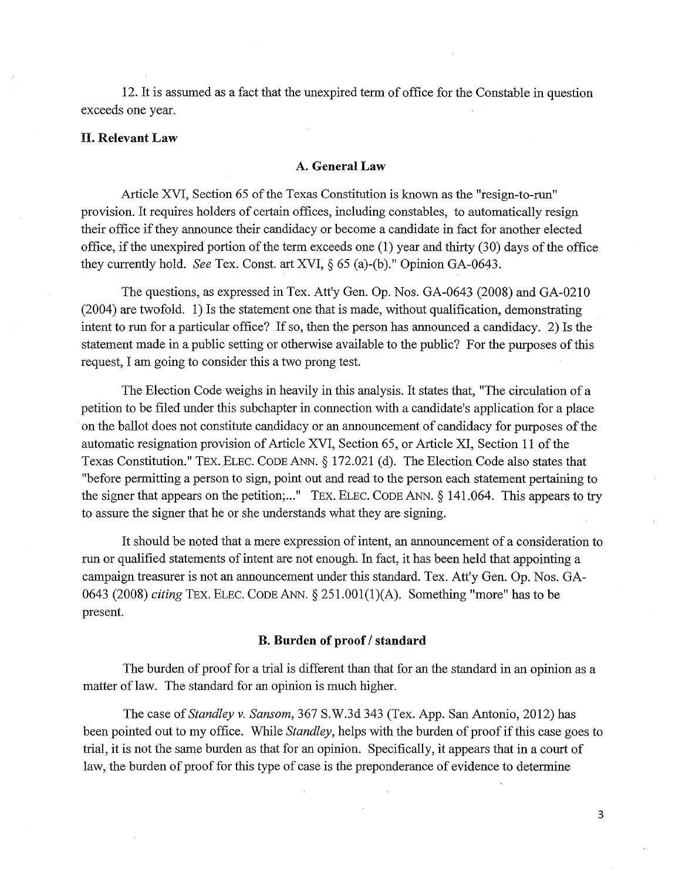12. It is assumed as a fact that the unexpired term of office for the Constable in question exceeds one year.

## II. **Relevant Law**

## **A. General Law**

Article XVI, Section 65 of the Texas Constitution is known as the "resign-to-run" provision. It requires holders of certain offices, including constables, to automatically resign their office if they announce their candidacy or become a candidate in fact for another elected office, if the unexpired portion of the term exceeds one (1) year and thirty (30) days of the office they currently hold. *See* Tex. Const. art XVI,§ 65 (a)-(b)." Opinion *GA-0643.* 

The questions, as expressed in Tex. Att'y Gen. Op. Nos. GA-0643 (2008) and GA-0210 (2004) are twofold. 1) Is the statement one that is made, without qualification, demonstrating intent to run for a particular office? If so, then the person has announced a candidacy. 2) Is the statement made in a public setting or otherwise available to the public? For the purposes of this request, I am going to consider this a two prong test.

The Election Code weighs in heavily in this analysis. It states that, "The circulation of a petition to be filed under this subchapter in connection with a candidate's application for a place on the ballot does not constitute candidacy or an announcement of candidacy for purposes of the automatic resignation provision of Article XVI, Section 65, or Article XI, Section 11 of the Texas Constitution." TEX. ELEC. CODE ANN. § 172.021 (d). The Election Code also states that "before permitting a person to sign, point out and read to the person each statement pertaining to the signer that appears on the petition;..." TEX. ELEC. CODE ANN.  $\S$  141.064. This appears to try to assure the signer that he or she understands what they are signing.

It should be noted that a mere expression of intent, an announcement of a consideration to run or qualified statements of intent are not enough. In fact, it has been held that appointing a campaign treasurer is not an announcement under this standard. Tex. Att'y Gen. Op. Nos. GA-0643 (2008) *citing* TEX. ELEC. CODE ANN. § 251.001(1)(A). Something "more" has to be present.

#### **B. Burden of proof/ standard**

The burden of proof for a trial is different than that for an the standard in an opinion as a matter of law. The standard for an opinion is much higher.

The case of *Standley v. Sansom,* 367 S.W.3d 343 (Tex. App. San Antonio, 2012) has been pointed out to my office. While *Standley,* helps with the burden of proof if this case goes to trial, it is not the same burden as that for an opinion. Specifically, it appears that in a court of law, the burden of proof for this type of case is the preponderance of evidence to determine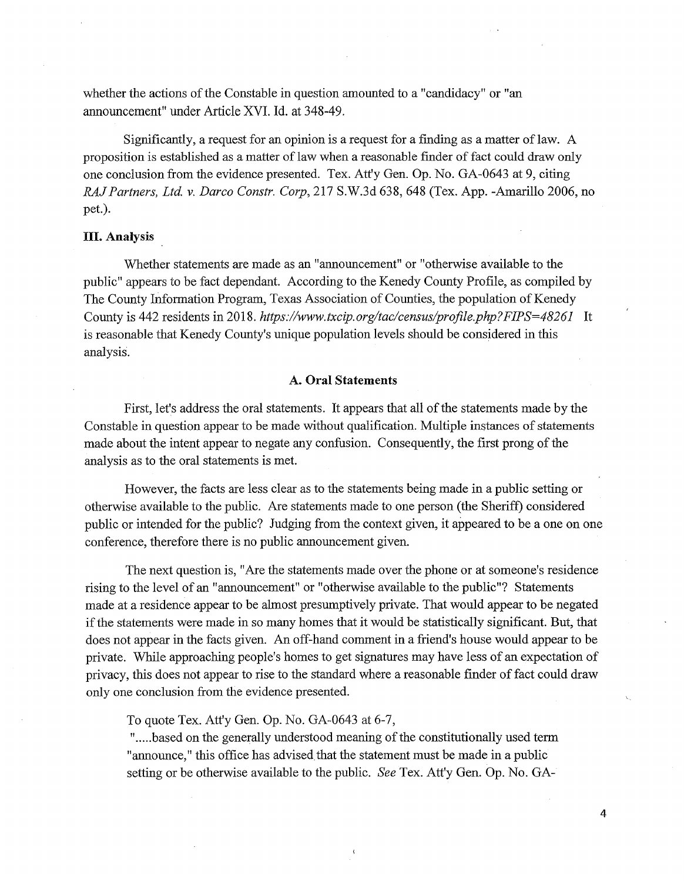whether the actions of the Constable in question amounted to a "candidacy" or "an announcement" under Article XVI. Id. at 348-49.

Significantly, a request for an opinion is a request for a finding as a matter of law. A proposition is established as a matter of law when a reasonable finder of fact could draw only one conclusion from the evidence presented. Tex. Att'y Gen. Op. No. GA-0643 at 9, citing *RAJ Partners, Ltd. v. Darco Constr. Corp,* 217 S.W.3d 638,648 (Tex. App. -Amarillo 2006, no pet.).

## **HI. Analysis**

Whether statements are made as an "announcement" or "otherwise available to the public" appears to be fact dependant. According to the Kenedy County Profile, as compiled by The County Information Program, Texas Association of Counties, the population of Kenedy County is 442 residents in 2018. *https://www.txcip.org/tac/census/profile.php?FIPS=48261* It is reasonable that Kenedy County's unique population levels should be considered in this analysis.

#### **A. Oral Statements**

First, let's address the oral statements. It appears that all of the statements made by the Constable in question appear to be made without qualification. Multiple instances of statements made about the intent appear to negate any confusion. Consequently, the first prong of the analysis as to the oral statements is met.

However, the facts are less clear as to the statements being made in a public setting or otherwise available to the public. Are statements made to one person (the Sheriff) considered public or intended for the public? Judging from the context given, it appeared to be a one on one conference, therefore there is no public announcement given.

The next question is, "Are the statements made over the phone or at someone's residence rising to the level of an "announcement" or "otherwise available to the public"? Statements made at a residence appear to be almost presumptively private. That would appear to be negated if the statements were made in so many homes that it would be statistically significant. But, that does not appear in the facts given. An off-hand comment in a friend's house would appear to be private. While approaching people's homes to get signatures may have less of an expectation of privacy, this does not appear to rise to the standard where a reasonable finder of fact could draw only one conclusion from the evidence presented.

To quote Tex. Att'y Gen. Op. No. GA-0643 at 6-7,

".....based on the generally understood meaning of the constitutionally used term "announce," this office has advised.that the statement must be made in a public setting or be otherwise available to the public. *See* Tex. Att'y Gen. Op. No. GA-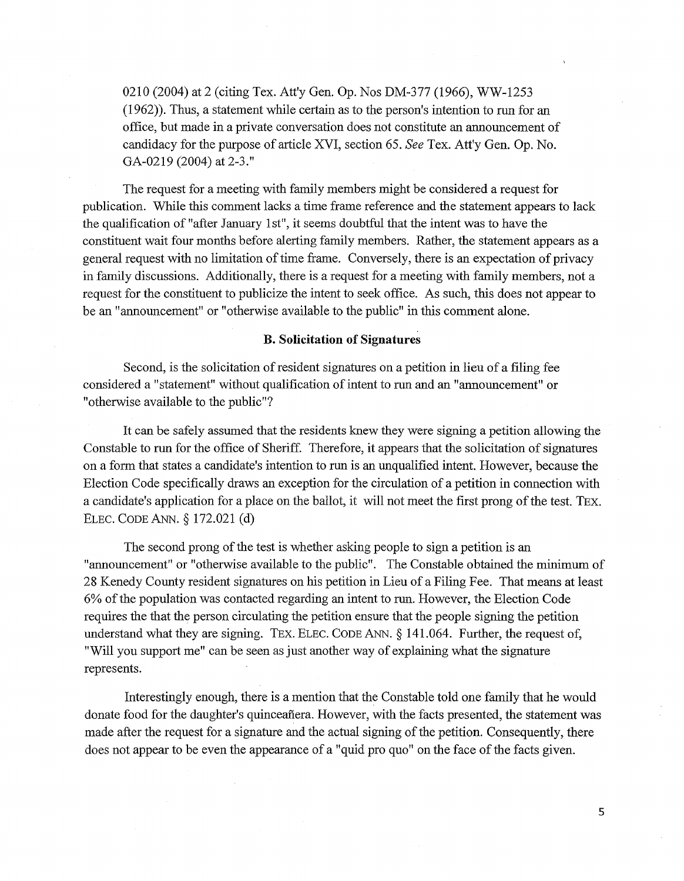0210 (2004) at 2 (citing Tex. Att'y Gen. Op. Nos DM-377 (1966), WW-1253 (1962)). Thus, a statement while certain as to the person's intention to run for an office, but made in a private conversation does not constitute an announcement of candidacy for the purpose of article XVI, section 65. *See* Tex. Att'y Gen. Op. No. GA-0219 (2004) at 2-3."

The request for a meeting with family members might be considered a request for publication. While this comment lacks a time frame reference and the statement appears to lack the qualification of "after January 1st", it seems doubtful that the intent was to have the constituent wait four months before alerting family members. Rather, the statement appears as a general request with no limitation of time frame. Conversely, there is an expectation of privacy in family discussions. Additionally, there is a request for a meeting with family members, not a request for the constituent to publicize the intent to seek office. As such, this does not appear to be an "announcement" or "otherwise available to the public" in this comment alone.

## **B. Solicitation of Signatures**

Second, is the solicitation of resident signatures on a petition in lieu of a filing fee considered a "statement" without qualification of intent to run and an "announcement" or "otherwise available to the public"?

It can be safely assumed that the residents knew they were signing a petition allowing the Constable to run for the office of Sheriff. Therefore, it appears that the solicitation of signatures on a form that states a candidate's intention to run is an unqualified intent. However, because the Election Code specifically draws an exception for the circulation of a petition in connection with a candidate's application for a place on the ballot, it will not meet the first prong of the test. TEX. ELEC. CODE ANN.§ 172.021 (d)

The second prong of the test is whether asking people to sign a petition is an "announcement" or "otherwise available to the public". The Constable obtained the minimum of 28 Kenedy County resident signatures on his petition in Lieu of a Filing Fee. That means at least 6% of the population was contacted regarding an intent to run. However, the Election Code requires the that the person circulating the petition ensure that the people signing the petition understand what they are signing. TEX. ELEC. CODE ANN. § 141.064. Further, the request of, "Will you support me" can be seen as just another way of explaining what the signature represents.

Interestingly enough, there is a mention that the Constable told one family that he would donate food for the daughter's quinceafiera. However, with the facts presented, the statement was made after the request for a signature and the actual signing of the petition. Consequently, there does not appear to be even the appearance of a "quid pro quo" on the face of the facts given.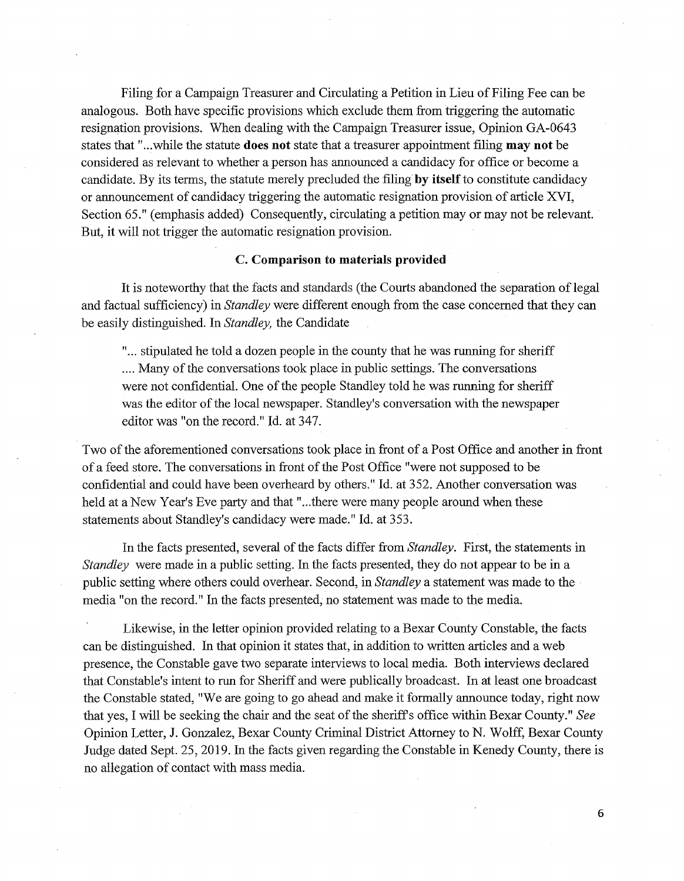Filing for a Campaign Treasurer and Circulating a Petition in Lieu of Filing Fee can be analogous. Both have specific provisions which exclude them from triggering the automatic resignation provisions. When dealing with the Campaign Treasurer issue, Opinion GA-0643 states that " ... while the statute **does not** state that a treasurer appointment filing **may not** be considered as relevant to whether a person has announced a candidacy for office or become a candidate. By its terms, the statute merely precluded the filing **by itself** to constitute candidacy or announcement of candidacy triggering the automatic resignation provision of article XVI, Section 65." (emphasis added) Consequently, circulating a petition may or may not be relevant. But, it will not trigger the automatic resignation provision.

## C. **Comparison to materials provided**

It is noteworthy that the facts and standards (the Courts abandoned the separation of legal and factual sufficiency) in *Standley* were different enough from the case concerned that they can be easily distinguished. In *Standley,* the Candidate

" ... stipulated he told a dozen people in the county that he was running for sheriff .... Many of the conversations took place in public settings. The conversations were not confidential. One of the people Standley told he was running for sheriff was the editor of the local newspaper. Standley's conversation with the newspaper editor was "on the record." Id. at 347.

Two of the aforementioned conversations took place in front of a Post Office and another in front of a feed store. The conversations in front of the Post Office "were not supposed to be confidential and could have been overheard by others." Id. at 352. Another conversation was held at a New Year's Eve party and that "...there were many people around when these statements about Standley's candidacy were made." Id. at 353.

In the facts presented, several of the facts differ from *Standley.* First, the statements in *Standley* were made in a public setting. In the facts presented, they do not appear to be in a public setting where others could overhear. Second, in *Standley* a statement was made to the media "on the record." In the facts presented, no statement was made to the media.

Likewise, in the letter opinion provided relating to a Bexar County Constable, the facts can be distinguished. In that opinion it states that, in addition to written articles and a web presence, the Constable gave two separate interviews to local media. Both interviews declared that Constable's intent to run for Sheriff and were publically broadcast. In at least one broadcast the Constable stated, "We are going to go ahead and make it formally announce today, right now that yes, I will be seeking the chair and the seat of the sheriffs office within Bexar County." *See*  Opinion Letter, **J.** Gonzalez, Bexar County Criminal District Attorney to N. Wolff, Bexar County Judge dated Sept. 25, 2019. In the facts given regarding the Constable in Kenedy County, there is no allegation of contact with mass media.